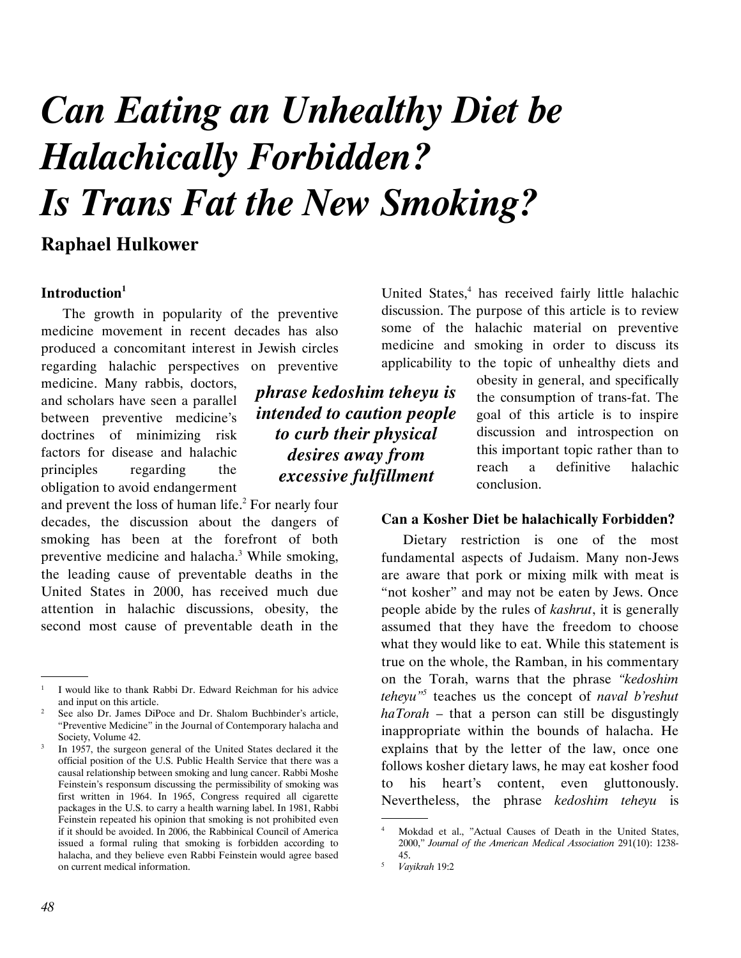# *Can Eating an Unhealthy Diet be Halachically Forbidden? Is Trans Fat the New Smoking?*

## **Raphael Hulkower**

## **Introduction<sup>1</sup>**

The growth in popularity of the preventive medicine movement in recent decades has also produced a concomitant interest in Jewish circles regarding halachic perspectives on preventive

medicine. Many rabbis, doctors, and scholars have seen a parallel between preventive medicine's doctrines of minimizing risk factors for disease and halachic principles regarding the obligation to avoid endangerment

and prevent the loss of human life. $<sup>2</sup>$  For nearly four</sup> decades, the discussion about the dangers of smoking has been at the forefront of both preventive medicine and halacha.<sup>3</sup> While smoking, the leading cause of preventable deaths in the United States in 2000, has received much due attention in halachic discussions, obesity, the second most cause of preventable death in the

United States,<sup>4</sup> has received fairly little halachic discussion. The purpose of this article is to review some of the halachic material on preventive medicine and smoking in order to discuss its applicability to the topic of unhealthy diets and

*phrase kedoshim teheyu is intended to caution people to curb their physical desires away from excessive fulfillment* 

obesity in general, and specifically the consumption of trans-fat. The goal of this article is to inspire discussion and introspection on this important topic rather than to reach a definitive halachic conclusion.

## **Can a Kosher Diet be halachically Forbidden?**

Dietary restriction is one of the most fundamental aspects of Judaism. Many non-Jews are aware that pork or mixing milk with meat is "not kosher" and may not be eaten by Jews. Once people abide by the rules of *kashrut*, it is generally assumed that they have the freedom to choose what they would like to eat. While this statement is true on the whole, the Ramban, in his commentary on the Torah, warns that the phrase *"kedoshim teheyu"<sup>5</sup>* teaches us the concept of *naval b'reshut haTorah* – that a person can still be disgustingly inappropriate within the bounds of halacha. He explains that by the letter of the law, once one follows kosher dietary laws, he may eat kosher food to his heart's content, even gluttonously. Nevertheless, the phrase *kedoshim teheyu* is

.

 <sup>.</sup> 1 I would like to thank Rabbi Dr. Edward Reichman for his advice and input on this article.

 $\overline{2}$  See also Dr. James DiPoce and Dr. Shalom Buchbinder's article, "Preventive Medicine" in the Journal of Contemporary halacha and Society, Volume 42.

<sup>3</sup> In 1957, the surgeon general of the United States declared it the official position of the U.S. Public Health Service that there was a causal relationship between smoking and lung cancer. Rabbi Moshe Feinstein's responsum discussing the permissibility of smoking was first written in 1964. In 1965, Congress required all cigarette packages in the U.S. to carry a health warning label. In 1981, Rabbi Feinstein repeated his opinion that smoking is not prohibited even if it should be avoided. In 2006, the Rabbinical Council of America issued a formal ruling that smoking is forbidden according to halacha, and they believe even Rabbi Feinstein would agree based on current medical information.

<sup>4</sup> Mokdad et al., "Actual Causes of Death in the United States, 2000," *Journal of the American Medical Association* 291(10): 1238- 45.

<sup>5</sup> *Vayikrah* 19:2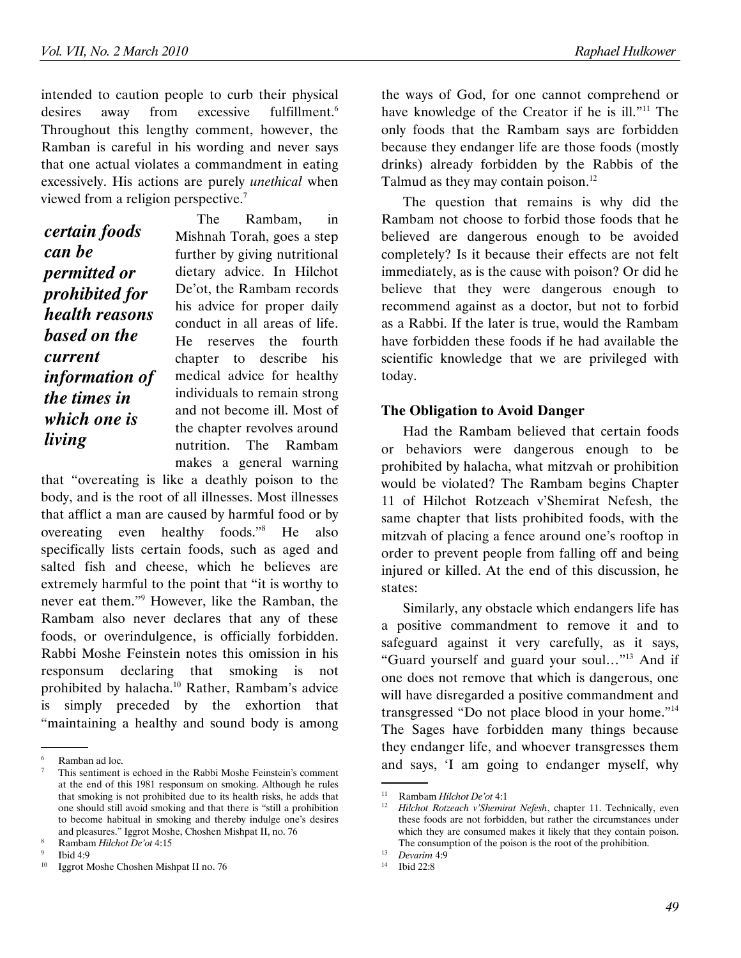intended to caution people to curb their physical desires away from excessive fulfillment.<sup>6</sup> Throughout this lengthy comment, however, the Ramban is careful in his wording and never says that one actual violates a commandment in eating excessively. His actions are purely *unethical* when viewed from a religion perspective. $7$ 

*certain foods can be permitted or prohibited for health reasons based on the current information of the times in which one is living* 

The Rambam, in Mishnah Torah, goes a step further by giving nutritional dietary advice. In Hilchot De'ot, the Rambam records his advice for proper daily conduct in all areas of life. He reserves the fourth chapter to describe his medical advice for healthy individuals to remain strong and not become ill. Most of the chapter revolves around nutrition. The Rambam makes a general warning

that "overeating is like a deathly poison to the body, and is the root of all illnesses. Most illnesses that afflict a man are caused by harmful food or by overeating even healthy foods."<sup>8</sup> He also specifically lists certain foods, such as aged and salted fish and cheese, which he believes are extremely harmful to the point that "it is worthy to never eat them."<sup>9</sup> However, like the Ramban, the Rambam also never declares that any of these foods, or overindulgence, is officially forbidden. Rabbi Moshe Feinstein notes this omission in his responsum declaring that smoking is not prohibited by halacha.<sup>10</sup> Rather, Rambam's advice is simply preceded by the exhortion that "maintaining a healthy and sound body is among

the ways of God, for one cannot comprehend or have knowledge of the Creator if he is ill."<sup>11</sup> The only foods that the Rambam says are forbidden because they endanger life are those foods (mostly drinks) already forbidden by the Rabbis of the Talmud as they may contain poison.<sup>12</sup>

The question that remains is why did the Rambam not choose to forbid those foods that he believed are dangerous enough to be avoided completely? Is it because their effects are not felt immediately, as is the cause with poison? Or did he believe that they were dangerous enough to recommend against as a doctor, but not to forbid as a Rabbi. If the later is true, would the Rambam have forbidden these foods if he had available the scientific knowledge that we are privileged with today.

### **The Obligation to Avoid Danger**

Had the Rambam believed that certain foods or behaviors were dangerous enough to be prohibited by halacha, what mitzvah or prohibition would be violated? The Rambam begins Chapter 11 of Hilchot Rotzeach v'Shemirat Nefesh, the same chapter that lists prohibited foods, with the mitzvah of placing a fence around one's rooftop in order to prevent people from falling off and being injured or killed. At the end of this discussion, he states:

Similarly, any obstacle which endangers life has a positive commandment to remove it and to safeguard against it very carefully, as it says, "Guard yourself and guard your soul…"<sup>13</sup> And if one does not remove that which is dangerous, one will have disregarded a positive commandment and transgressed "Do not place blood in your home."<sup>14</sup> The Sages have forbidden many things because they endanger life, and whoever transgresses them and says, 'I am going to endanger myself, why

 <sup>.</sup> 6 Ramban ad loc.

<sup>7</sup> This sentiment is echoed in the Rabbi Moshe Feinstein's comment at the end of this 1981 responsum on smoking. Although he rules that smoking is not prohibited due to its health risks, he adds that one should still avoid smoking and that there is "still a prohibition to become habitual in smoking and thereby indulge one's desires and pleasures." Iggrot Moshe, Choshen Mishpat II, no. 76

<sup>8</sup> Rambam *Hilchot De'ot* 4:15

<sup>9</sup> <sup>9</sup> Ibid 4:9

<sup>10</sup> Iggrot Moshe Choshen Mishpat II no. 76

 <sup>.</sup> <sup>11</sup> Rambam *Hilchot De'ot* 4:1

<sup>12</sup> *Hilchot Rotzeach v'Shemirat Nefesh*, chapter 11. Technically, even these foods are not forbidden, but rather the circumstances under which they are consumed makes it likely that they contain poison. The consumption of the poison is the root of the prohibition.

<sup>13</sup> *Devarim* 4:9 <sup>14</sup> Ibid 22:8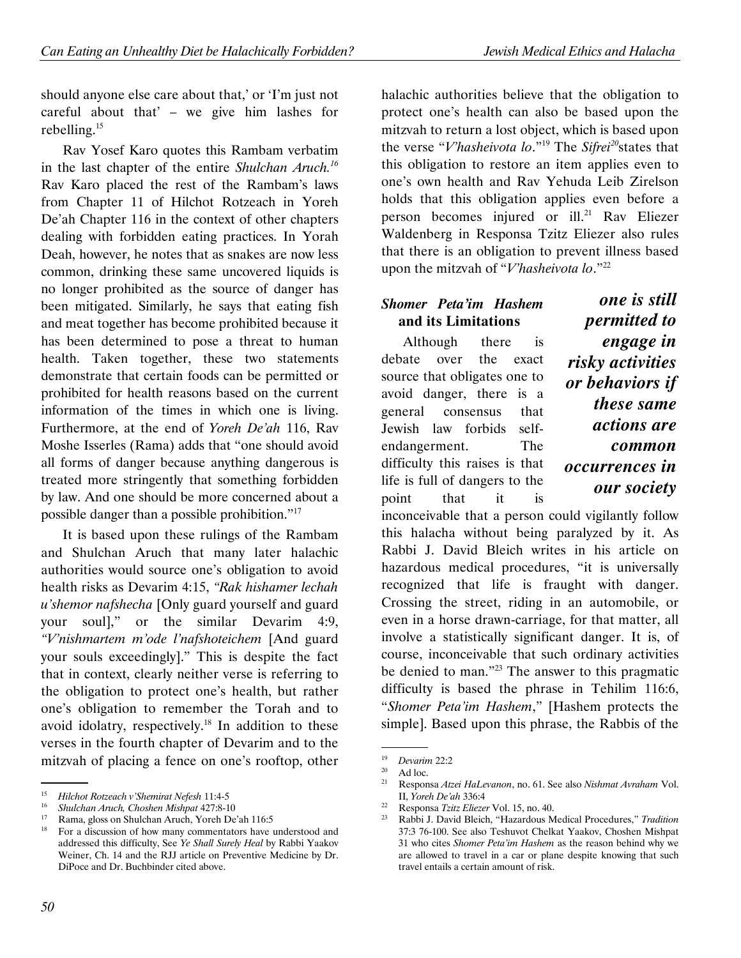should anyone else care about that,' or 'I'm just not careful about that' – we give him lashes for rebelling. $15$ 

Rav Yosef Karo quotes this Rambam verbatim in the last chapter of the entire *Shulchan Aruch.<sup>16</sup>* Rav Karo placed the rest of the Rambam's laws from Chapter 11 of Hilchot Rotzeach in Yoreh De'ah Chapter 116 in the context of other chapters dealing with forbidden eating practices. In Yorah Deah, however, he notes that as snakes are now less common, drinking these same uncovered liquids is no longer prohibited as the source of danger has been mitigated. Similarly, he says that eating fish and meat together has become prohibited because it has been determined to pose a threat to human health. Taken together, these two statements demonstrate that certain foods can be permitted or prohibited for health reasons based on the current information of the times in which one is living. Furthermore, at the end of *Yoreh De'ah* 116, Rav Moshe Isserles (Rama) adds that "one should avoid all forms of danger because anything dangerous is treated more stringently that something forbidden by law. And one should be more concerned about a possible danger than a possible prohibition."<sup>17</sup>

It is based upon these rulings of the Rambam and Shulchan Aruch that many later halachic authorities would source one's obligation to avoid health risks as Devarim 4:15, *"Rak hishamer lechah u'shemor nafshecha* [Only guard yourself and guard your soul]," or the similar Devarim 4:9, *"V'nishmartem m'ode l'nafshoteichem* [And guard your souls exceedingly]." This is despite the fact that in context, clearly neither verse is referring to the obligation to protect one's health, but rather one's obligation to remember the Torah and to avoid idolatry, respectively.<sup>18</sup> In addition to these verses in the fourth chapter of Devarim and to the mitzvah of placing a fence on one's rooftop, other

halachic authorities believe that the obligation to protect one's health can also be based upon the mitzvah to return a lost object, which is based upon the verse "*V'hasheivota lo*."<sup>19</sup> The *Sifrei<sup>20</sup>*states that this obligation to restore an item applies even to one's own health and Rav Yehuda Leib Zirelson holds that this obligation applies even before a person becomes injured or ill.<sup>21</sup> Rav Eliezer Waldenberg in Responsa Tzitz Eliezer also rules that there is an obligation to prevent illness based upon the mitzvah of "*V'hasheivota lo*."<sup>22</sup>

## *Shomer Peta'im Hashem* **and its Limitations**

Although there is debate over the exact source that obligates one to avoid danger, there is a general consensus that Jewish law forbids selfendangerment. The difficulty this raises is that life is full of dangers to the point that it is

*one is still permitted to engage in risky activities or behaviors if these same actions are common occurrences in our society* 

inconceivable that a person could vigilantly follow this halacha without being paralyzed by it. As Rabbi J. David Bleich writes in his article on hazardous medical procedures, "it is universally recognized that life is fraught with danger. Crossing the street, riding in an automobile, or even in a horse drawn-carriage, for that matter, all involve a statistically significant danger. It is, of course, inconceivable that such ordinary activities be denied to man."<sup>23</sup> The answer to this pragmatic difficulty is based the phrase in Tehilim 116:6, "*Shomer Peta'im Hashem*," [Hashem protects the simple]. Based upon this phrase, the Rabbis of the

 <sup>.</sup> 15 *Hilchot Rotzeach v'Shemirat Nefesh* 11:4-5

<sup>16</sup> *Shulchan Aruch, Choshen Mishpat* 427:8-10

<sup>17</sup> Rama, gloss on Shulchan Aruch, Yoreh De'ah 116:5

For a discussion of how many commentators have understood and addressed this difficulty, See *Ye Shall Surely Heal* by Rabbi Yaakov Weiner, Ch. 14 and the RJJ article on Preventive Medicine by Dr. DiPoce and Dr. Buchbinder cited above.

 <sup>.</sup> 19 <sup>19</sup> *Devarim* 22:2

 $^{20}$  Ad loc.<br> $^{21}$  Perpon

<sup>21</sup> Responsa *Atzei HaLevanon*, no. 61. See also *Nishmat Avraham* Vol. II, *Yoreh De'ah* 336:4

<sup>22</sup> Responsa *Tzitz Eliezer* Vol. 15, no. 40.

<sup>23</sup> Rabbi J. David Bleich, "Hazardous Medical Procedures," *Tradition*  37:3 76-100. See also Teshuvot Chelkat Yaakov, Choshen Mishpat 31 who cites *Shomer Peta'im Hashem* as the reason behind why we are allowed to travel in a car or plane despite knowing that such travel entails a certain amount of risk.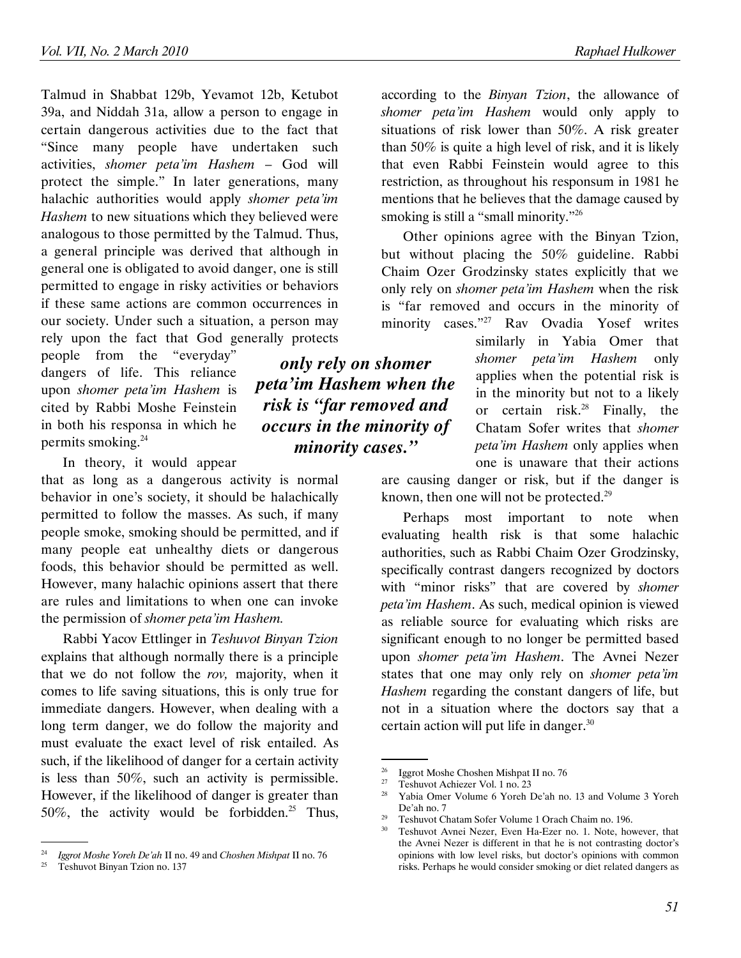Talmud in Shabbat 129b, Yevamot 12b, Ketubot 39a, and Niddah 31a, allow a person to engage in certain dangerous activities due to the fact that "Since many people have undertaken such activities, *shomer peta'im Hashem* – God will protect the simple." In later generations, many halachic authorities would apply *shomer peta'im Hashem* to new situations which they believed were analogous to those permitted by the Talmud. Thus, a general principle was derived that although in general one is obligated to avoid danger, one is still permitted to engage in risky activities or behaviors if these same actions are common occurrences in our society. Under such a situation, a person may rely upon the fact that God generally protects

people from the "everyday" dangers of life. This reliance upon *shomer peta'im Hashem* is cited by Rabbi Moshe Feinstein in both his responsa in which he permits smoking.<sup>24</sup>

In theory, it would appear

that as long as a dangerous activity is normal behavior in one's society, it should be halachically permitted to follow the masses. As such, if many people smoke, smoking should be permitted, and if many people eat unhealthy diets or dangerous foods, this behavior should be permitted as well. However, many halachic opinions assert that there are rules and limitations to when one can invoke the permission of *shomer peta'im Hashem.*

Rabbi Yacov Ettlinger in *Teshuvot Binyan Tzion* explains that although normally there is a principle that we do not follow the *rov,* majority, when it comes to life saving situations, this is only true for immediate dangers. However, when dealing with a long term danger, we do follow the majority and must evaluate the exact level of risk entailed. As such, if the likelihood of danger for a certain activity is less than 50%, such an activity is permissible. However, if the likelihood of danger is greater than 50%, the activity would be forbidden.<sup>25</sup> Thus,

*only rely on shomer peta'im Hashem when the risk is "far removed and occurs in the minority of minority cases."* 

according to the *Binyan Tzion*, the allowance of *shomer peta'im Hashem* would only apply to situations of risk lower than 50%. A risk greater than 50% is quite a high level of risk, and it is likely that even Rabbi Feinstein would agree to this restriction, as throughout his responsum in 1981 he mentions that he believes that the damage caused by smoking is still a "small minority."<sup>26</sup>

Other opinions agree with the Binyan Tzion, but without placing the 50% guideline. Rabbi Chaim Ozer Grodzinsky states explicitly that we only rely on *shomer peta'im Hashem* when the risk is "far removed and occurs in the minority of minority cases."<sup>27</sup> Rav Ovadia Yosef writes

similarly in Yabia Omer that *shomer peta'im Hashem* only applies when the potential risk is in the minority but not to a likely or certain risk. $28$  Finally, the Chatam Sofer writes that *shomer peta'im Hashem* only applies when one is unaware that their actions

are causing danger or risk, but if the danger is known, then one will not be protected.<sup>29</sup>

Perhaps most important to note when evaluating health risk is that some halachic authorities, such as Rabbi Chaim Ozer Grodzinsky, specifically contrast dangers recognized by doctors with "minor risks" that are covered by *shomer peta'im Hashem*. As such, medical opinion is viewed as reliable source for evaluating which risks are significant enough to no longer be permitted based upon *shomer peta'im Hashem*. The Avnei Nezer states that one may only rely on *shomer peta'im Hashem* regarding the constant dangers of life, but not in a situation where the doctors say that a certain action will put life in danger.<sup>30</sup>

 <sup>.</sup> 24 *Iggrot Moshe Yoreh De'ah* II no. 49 and *Choshen Mishpat* II no. 76

<sup>25</sup> Teshuvot Binyan Tzion no. 137

 <sup>.</sup> <sup>26</sup> Iggrot Moshe Choshen Mishpat II no. 76<br><sup>27</sup> Tashwat Ashianan Val. 1 no. 22

<sup>&</sup>lt;sup>27</sup> Teshuvot Achiezer Vol. 1 no. 23<br><sup>28</sup> Yekia Oman Valume 6 Name L<sup>7</sup>

Yabia Omer Volume 6 Yoreh De'ah no. 13 and Volume 3 Yoreh De'ah no. 7

<sup>&</sup>lt;sup>29</sup> Teshuvot Chatam Sofer Volume 1 Orach Chaim no. 196.<br><sup>30</sup> Teshuvot Arnai Nazar, Fuen He France, 1. Nata have

Teshuvot Avnei Nezer, Even Ha-Ezer no. 1. Note, however, that the Avnei Nezer is different in that he is not contrasting doctor's opinions with low level risks, but doctor's opinions with common risks. Perhaps he would consider smoking or diet related dangers as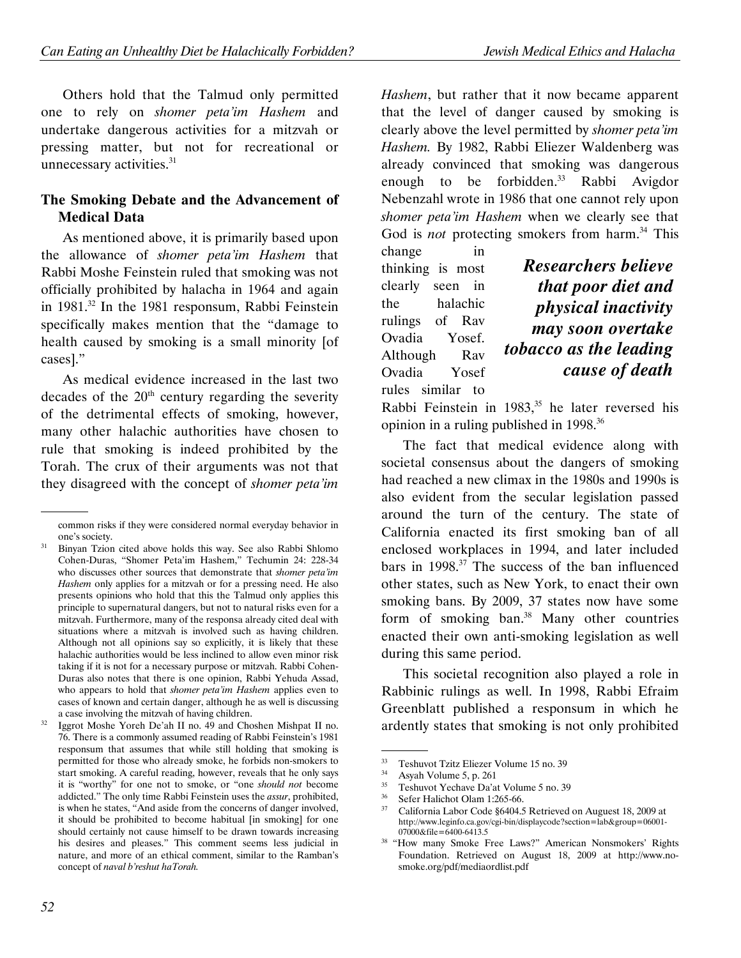Others hold that the Talmud only permitted one to rely on *shomer peta'im Hashem* and undertake dangerous activities for a mitzvah or pressing matter, but not for recreational or unnecessary activities.<sup>31</sup>

## **The Smoking Debate and the Advancement of Medical Data**

As mentioned above, it is primarily based upon the allowance of *shomer peta'im Hashem* that Rabbi Moshe Feinstein ruled that smoking was not officially prohibited by halacha in 1964 and again in 1981.<sup>32</sup> In the 1981 responsum, Rabbi Feinstein specifically makes mention that the "damage to health caused by smoking is a small minority [of cases]."

As medical evidence increased in the last two decades of the  $20<sup>th</sup>$  century regarding the severity of the detrimental effects of smoking, however, many other halachic authorities have chosen to rule that smoking is indeed prohibited by the Torah. The crux of their arguments was not that they disagreed with the concept of *shomer peta'im* 

 $32$  Iggrot Moshe Yoreh De'ah II no. 49 and Choshen Mishpat II no. 76. There is a commonly assumed reading of Rabbi Feinstein's 1981 responsum that assumes that while still holding that smoking is permitted for those who already smoke, he forbids non-smokers to start smoking. A careful reading, however, reveals that he only says it is "worthy" for one not to smoke, or "one *should not* become addicted." The only time Rabbi Feinstein uses the *assur*, prohibited, is when he states, "And aside from the concerns of danger involved, it should be prohibited to become habitual [in smoking] for one should certainly not cause himself to be drawn towards increasing his desires and pleases." This comment seems less judicial in nature, and more of an ethical comment, similar to the Ramban's concept of *naval b'reshut haTorah.* 

*Hashem*, but rather that it now became apparent that the level of danger caused by smoking is clearly above the level permitted by *shomer peta'im Hashem.* By 1982, Rabbi Eliezer Waldenberg was already convinced that smoking was dangerous enough to be forbidden.<sup>33</sup> Rabbi Avigdor Nebenzahl wrote in 1986 that one cannot rely upon *shomer peta'im Hashem* when we clearly see that God is *not* protecting smokers from harm.<sup>34</sup> This

change in thinking is most clearly seen in the halachic rulings of Rav Ovadia Yosef. Although Rav Ovadia Yosef rules similar to

*Researchers believe that poor diet and physical inactivity may soon overtake tobacco as the leading cause of death* 

Rabbi Feinstein in  $1983$ ,<sup>35</sup> he later reversed his opinion in a ruling published in 1998.<sup>36</sup>

The fact that medical evidence along with societal consensus about the dangers of smoking had reached a new climax in the 1980s and 1990s is also evident from the secular legislation passed around the turn of the century. The state of California enacted its first smoking ban of all enclosed workplaces in 1994, and later included bars in  $1998.^{37}$  The success of the ban influenced other states, such as New York, to enact their own smoking bans. By 2009, 37 states now have some form of smoking ban.<sup>38</sup> Many other countries enacted their own anti-smoking legislation as well during this same period.

This societal recognition also played a role in Rabbinic rulings as well. In 1998, Rabbi Efraim Greenblatt published a responsum in which he ardently states that smoking is not only prohibited

 <sup>.</sup> common risks if they were considered normal everyday behavior in one's society.

<sup>&</sup>lt;sup>31</sup> Binyan Tzion cited above holds this way. See also Rabbi Shlomo Cohen-Duras, "Shomer Peta'im Hashem," Techumin 24: 228-34 who discusses other sources that demonstrate that *shomer peta'im Hashem* only applies for a mitzvah or for a pressing need. He also presents opinions who hold that this the Talmud only applies this principle to supernatural dangers, but not to natural risks even for a mitzvah. Furthermore, many of the responsa already cited deal with situations where a mitzvah is involved such as having children. Although not all opinions say so explicitly, it is likely that these halachic authorities would be less inclined to allow even minor risk taking if it is not for a necessary purpose or mitzvah. Rabbi Cohen-Duras also notes that there is one opinion, Rabbi Yehuda Assad, who appears to hold that *shomer peta'im Hashem* applies even to cases of known and certain danger, although he as well is discussing a case involving the mitzvah of having children.

 <sup>.</sup> <sup>33</sup> Teshuvot Tzitz Eliezer Volume 15 no. 39<br> $^{34}$  Agyah Volume 5, p. 261

 $35$  Asyah Volume 5, p. 261

<sup>&</sup>lt;sup>35</sup> Teshuvot Yechave Da'at Volume 5 no. 39<br> $\frac{36}{2}$  Sefer Heliebet Olem 1:265.66

 $36$  Sefer Halichot Olam 1:265-66.<br> $37$  Colifornia Labor Code 86404.5

<sup>37</sup> California Labor Code §6404.5 Retrieved on Auguest 18, 2009 at http://www.leginfo.ca.gov/cgi-bin/displaycode?section=lab&group=06001- 07000&file=6400-6413.5

<sup>38</sup> "How many Smoke Free Laws?" American Nonsmokers' Rights Foundation. Retrieved on August 18, 2009 at http://www.nosmoke.org/pdf/mediaordlist.pdf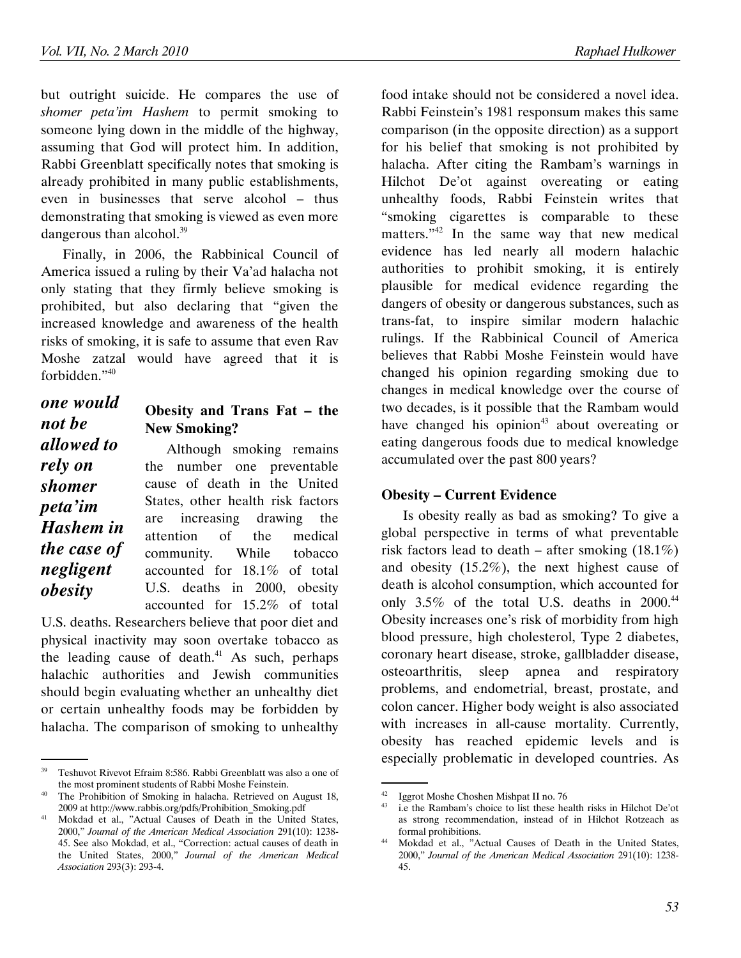but outright suicide. He compares the use of *shomer peta'im Hashem* to permit smoking to someone lying down in the middle of the highway, assuming that God will protect him. In addition, Rabbi Greenblatt specifically notes that smoking is already prohibited in many public establishments, even in businesses that serve alcohol – thus demonstrating that smoking is viewed as even more dangerous than alcohol.<sup>39</sup>

Finally, in 2006, the Rabbinical Council of America issued a ruling by their Va'ad halacha not only stating that they firmly believe smoking is prohibited, but also declaring that "given the increased knowledge and awareness of the health risks of smoking, it is safe to assume that even Rav Moshe zatzal would have agreed that it is forbidden."<sup>40</sup>

## *one would not be allowed to rely on shomer peta'im Hashem in the case of negligent obesity*

## **Obesity and Trans Fat – the New Smoking?**

Although smoking remains the number one preventable cause of death in the United States, other health risk factors are increasing drawing the attention of the medical community. While tobacco accounted for 18.1% of total U.S. deaths in 2000, obesity accounted for 15.2% of total

U.S. deaths. Researchers believe that poor diet and physical inactivity may soon overtake tobacco as the leading cause of death. $41$  As such, perhaps halachic authorities and Jewish communities should begin evaluating whether an unhealthy diet or certain unhealthy foods may be forbidden by halacha. The comparison of smoking to unhealthy food intake should not be considered a novel idea. Rabbi Feinstein's 1981 responsum makes this same comparison (in the opposite direction) as a support for his belief that smoking is not prohibited by halacha. After citing the Rambam's warnings in Hilchot De'ot against overeating or eating unhealthy foods, Rabbi Feinstein writes that "smoking cigarettes is comparable to these matters."<sup>42</sup> In the same way that new medical evidence has led nearly all modern halachic authorities to prohibit smoking, it is entirely plausible for medical evidence regarding the dangers of obesity or dangerous substances, such as trans-fat, to inspire similar modern halachic rulings. If the Rabbinical Council of America believes that Rabbi Moshe Feinstein would have changed his opinion regarding smoking due to changes in medical knowledge over the course of two decades, is it possible that the Rambam would have changed his opinion<sup>43</sup> about overeating or eating dangerous foods due to medical knowledge accumulated over the past 800 years?

## **Obesity – Current Evidence**

Is obesity really as bad as smoking? To give a global perspective in terms of what preventable risk factors lead to death – after smoking  $(18.1\%)$ and obesity (15.2%), the next highest cause of death is alcohol consumption, which accounted for only  $3.5\%$  of the total U.S. deaths in  $2000^{44}$ Obesity increases one's risk of morbidity from high blood pressure, high cholesterol, Type 2 diabetes, coronary heart disease, stroke, gallbladder disease, osteoarthritis, sleep apnea and respiratory problems, and endometrial, breast, prostate, and colon cancer. Higher body weight is also associated with increases in all-cause mortality. Currently, obesity has reached epidemic levels and is especially problematic in developed countries. As

 <sup>.</sup> <sup>39</sup> Teshuvot Rivevot Efraim 8:586. Rabbi Greenblatt was also a one of the most prominent students of Rabbi Moshe Feinstein.

<sup>&</sup>lt;sup>40</sup> The Prohibition of Smoking in halacha. Retrieved on August 18, 2009 at http://www.rabbis.org/pdfs/Prohibition\_Smoking.pdf

<sup>&</sup>lt;sup>41</sup> Mokdad et al., "Actual Causes of Death in the United States, 2000," *Journal of the American Medical Association* 291(10): 1238- 45. See also Mokdad, et al., "Correction: actual causes of death in the United States, 2000," *Journal of the American Medical Association* 293(3): 293-4.

 <sup>.</sup> <sup>42</sup> Iggrot Moshe Choshen Mishpat II no. 76<br><sup>43</sup> is the Bambani's shain to list these ha

i.e the Rambam's choice to list these health risks in Hilchot De'ot as strong recommendation, instead of in Hilchot Rotzeach as formal prohibitions.

<sup>44</sup> Mokdad et al., "Actual Causes of Death in the United States, 2000," *Journal of the American Medical Association* 291(10): 1238- 45.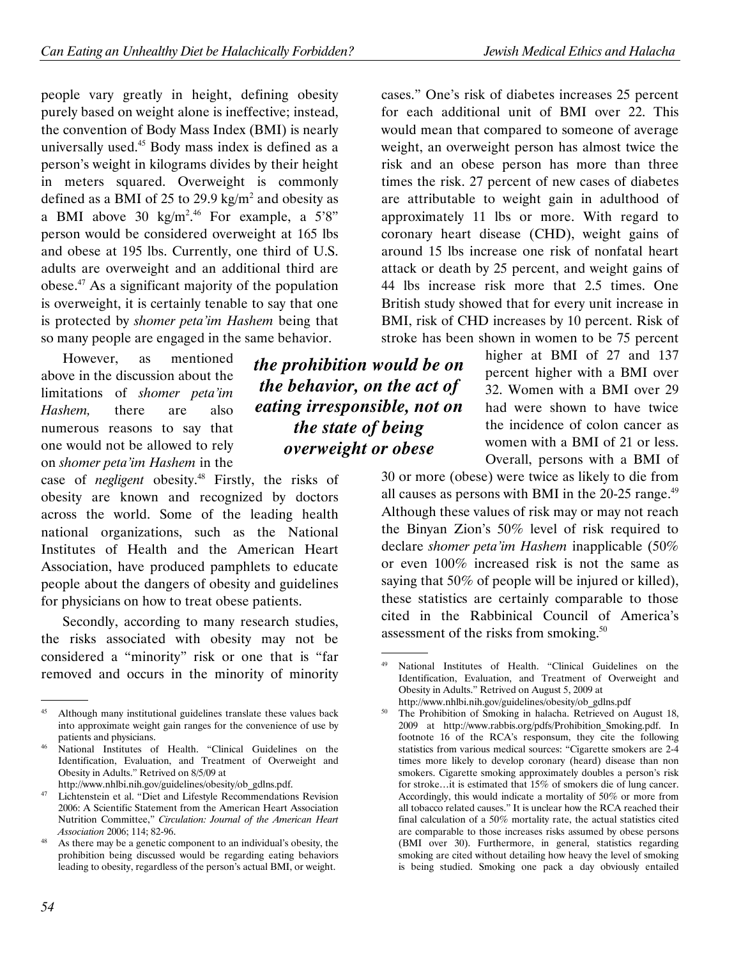people vary greatly in height, defining obesity purely based on weight alone is ineffective; instead, the convention of Body Mass Index (BMI) is nearly universally used.<sup>45</sup> Body mass index is defined as a person's weight in kilograms divides by their height in meters squared. Overweight is commonly defined as a BMI of 25 to 29.9  $\text{kg/m}^2$  and obesity as a BMI above 30  $\text{kg/m}^2$ <sup>46</sup> For example, a 5'8" person would be considered overweight at 165 lbs and obese at 195 lbs. Currently, one third of U.S. adults are overweight and an additional third are obese.<sup>47</sup> As a significant majority of the population is overweight, it is certainly tenable to say that one is protected by *shomer peta'im Hashem* being that so many people are engaged in the same behavior.

However, as mentioned above in the discussion about the limitations of *shomer peta'im Hashem,* there are also numerous reasons to say that one would not be allowed to rely on *shomer peta'im Hashem* in the

case of *negligent* obesity.<sup>48</sup> Firstly, the risks of obesity are known and recognized by doctors across the world. Some of the leading health national organizations, such as the National Institutes of Health and the American Heart Association, have produced pamphlets to educate people about the dangers of obesity and guidelines for physicians on how to treat obese patients.

Secondly, according to many research studies, the risks associated with obesity may not be considered a "minority" risk or one that is "far removed and occurs in the minority of minority

cases." One's risk of diabetes increases 25 percent for each additional unit of BMI over 22. This would mean that compared to someone of average weight, an overweight person has almost twice the risk and an obese person has more than three times the risk. 27 percent of new cases of diabetes are attributable to weight gain in adulthood of approximately 11 lbs or more. With regard to coronary heart disease (CHD), weight gains of around 15 lbs increase one risk of nonfatal heart attack or death by 25 percent, and weight gains of 44 lbs increase risk more that 2.5 times. One British study showed that for every unit increase in BMI, risk of CHD increases by 10 percent. Risk of stroke has been shown in women to be 75 percent

> higher at BMI of 27 and 137 percent higher with a BMI over 32. Women with a BMI over 29 had were shown to have twice the incidence of colon cancer as women with a BMI of 21 or less. Overall, persons with a BMI of

30 or more (obese) were twice as likely to die from all causes as persons with BMI in the  $20-25$  range.<sup>49</sup> Although these values of risk may or may not reach the Binyan Zion's 50% level of risk required to declare *shomer peta'im Hashem* inapplicable (50% or even 100% increased risk is not the same as saying that 50% of people will be injured or killed), these statistics are certainly comparable to those cited in the Rabbinical Council of America's assessment of the risks from smoking.<sup>50</sup>

*the prohibition would be on the behavior, on the act of eating irresponsible, not on the state of being overweight or obese*

 <sup>.</sup> Although many institutional guidelines translate these values back into approximate weight gain ranges for the convenience of use by patients and physicians.

<sup>46</sup> National Institutes of Health. "Clinical Guidelines on the Identification, Evaluation, and Treatment of Overweight and Obesity in Adults." Retrived on 8/5/09 at

http://www.nhlbi.nih.gov/guidelines/obesity/ob\_gdlns.pdf.

<sup>&</sup>lt;sup>47</sup> Lichtenstein et al. "Diet and Lifestyle Recommendations Revision 2006: A Scientific Statement from the American Heart Association Nutrition Committee," *Circulation: Journal of the American Heart Association* 2006; 114; 82-96.

 $48$  As there may be a genetic component to an individual's obesity, the prohibition being discussed would be regarding eating behaviors leading to obesity, regardless of the person's actual BMI, or weight.

 <sup>.</sup> National Institutes of Health. "Clinical Guidelines on the Identification, Evaluation, and Treatment of Overweight and Obesity in Adults." Retrived on August 5, 2009 at http://www.nhlbi.nih.gov/guidelines/obesity/ob\_gdlns.pdf

<sup>&</sup>lt;sup>50</sup> The Prohibition of Smoking in halacha. Retrieved on August 18, 2009 at http://www.rabbis.org/pdfs/Prohibition\_Smoking.pdf. In footnote 16 of the RCA's responsum, they cite the following statistics from various medical sources: "Cigarette smokers are 2-4 times more likely to develop coronary (heard) disease than non smokers. Cigarette smoking approximately doubles a person's risk for stroke…it is estimated that 15% of smokers die of lung cancer. Accordingly, this would indicate a mortality of 50% or more from all tobacco related causes." It is unclear how the RCA reached their final calculation of a 50% mortality rate, the actual statistics cited are comparable to those increases risks assumed by obese persons (BMI over 30). Furthermore, in general, statistics regarding smoking are cited without detailing how heavy the level of smoking is being studied. Smoking one pack a day obviously entailed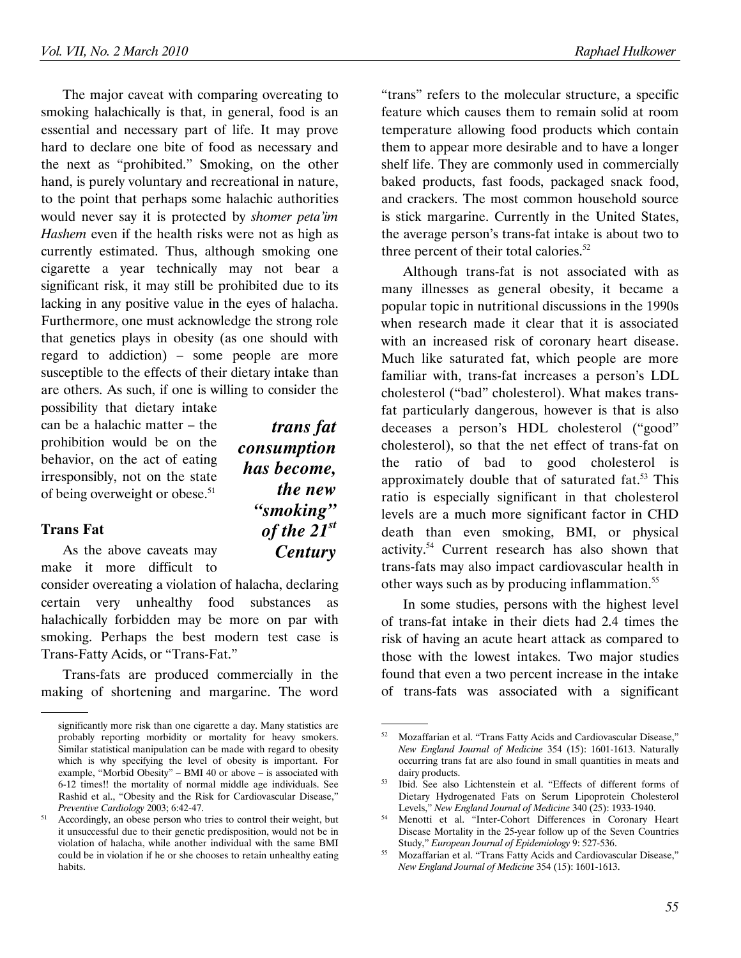The major caveat with comparing overeating to smoking halachically is that, in general, food is an

*trans fat* 

*the new "smoking" of the 21st Century* 

*consumption has become,* 

essential and necessary part of life. It may prove hard to declare one bite of food as necessary and the next as "prohibited." Smoking, on the other hand, is purely voluntary and recreational in nature, to the point that perhaps some halachic authorities would never say it is protected by *shomer peta'im Hashem* even if the health risks were not as high as currently estimated. Thus, although smoking one cigarette a year technically may not bear a significant risk, it may still be prohibited due to its lacking in any positive value in the eyes of halacha. Furthermore, one must acknowledge the strong role that genetics plays in obesity (as one should with regard to addiction) – some people are more susceptible to the effects of their dietary intake than are others. As such, if one is willing to consider the

possibility that dietary intake can be a halachic matter – the prohibition would be on the behavior, on the act of eating irresponsibly, not on the state of being overweight or obese.<sup>51</sup>

### **Trans Fat**

.

As the above caveats may make it more difficult to

consider overeating a violation of halacha, declaring certain very unhealthy food substances as halachically forbidden may be more on par with smoking. Perhaps the best modern test case is Trans-Fatty Acids, or "Trans-Fat."

Trans-fats are produced commercially in the making of shortening and margarine. The word

"trans" refers to the molecular structure, a specific feature which causes them to remain solid at room temperature allowing food products which contain them to appear more desirable and to have a longer shelf life. They are commonly used in commercially baked products, fast foods, packaged snack food, and crackers. The most common household source is stick margarine. Currently in the United States, the average person's trans-fat intake is about two to three percent of their total calories. $52$ 

Although trans-fat is not associated with as many illnesses as general obesity, it became a popular topic in nutritional discussions in the 1990s when research made it clear that it is associated with an increased risk of coronary heart disease. Much like saturated fat, which people are more familiar with, trans-fat increases a person's LDL cholesterol ("bad" cholesterol). What makes transfat particularly dangerous, however is that is also deceases a person's HDL cholesterol ("good" cholesterol), so that the net effect of trans-fat on the ratio of bad to good cholesterol is approximately double that of saturated fat. $53$  This ratio is especially significant in that cholesterol levels are a much more significant factor in CHD death than even smoking, BMI, or physical activity.<sup>54</sup> Current research has also shown that trans-fats may also impact cardiovascular health in other ways such as by producing inflammation.<sup>55</sup>

In some studies, persons with the highest level of trans-fat intake in their diets had 2.4 times the risk of having an acute heart attack as compared to those with the lowest intakes. Two major studies found that even a two percent increase in the intake of trans-fats was associated with a significant

significantly more risk than one cigarette a day. Many statistics are probably reporting morbidity or mortality for heavy smokers. Similar statistical manipulation can be made with regard to obesity which is why specifying the level of obesity is important. For example, "Morbid Obesity" – BMI 40 or above – is associated with 6-12 times!! the mortality of normal middle age individuals. See Rashid et al., "Obesity and the Risk for Cardiovascular Disease," *Preventive Cardiology* 2003; 6:42-47.

<sup>&</sup>lt;sup>51</sup> Accordingly, an obese person who tries to control their weight, but it unsuccessful due to their genetic predisposition, would not be in violation of halacha, while another individual with the same BMI could be in violation if he or she chooses to retain unhealthy eating habits.

 <sup>.</sup> <sup>52</sup> Mozaffarian et al. "Trans Fatty Acids and Cardiovascular Disease," *New England Journal of Medicine* 354 (15): 1601-1613. Naturally occurring trans fat are also found in small quantities in meats and dairy products.

<sup>53</sup> Ibid. See also Lichtenstein et al. "Effects of different forms of Dietary Hydrogenated Fats on Serum Lipoprotein Cholesterol Levels," *New England Journal of Medicine* 340 (25): 1933-1940.

<sup>&</sup>lt;sup>54</sup> Menotti et al. "Inter-Cohort Differences in Coronary Heart Disease Mortality in the 25-year follow up of the Seven Countries Study," *European Journal of Epidemiology* 9: 527-536.

<sup>55</sup> Mozaffarian et al. "Trans Fatty Acids and Cardiovascular Disease," *New England Journal of Medicine* 354 (15): 1601-1613.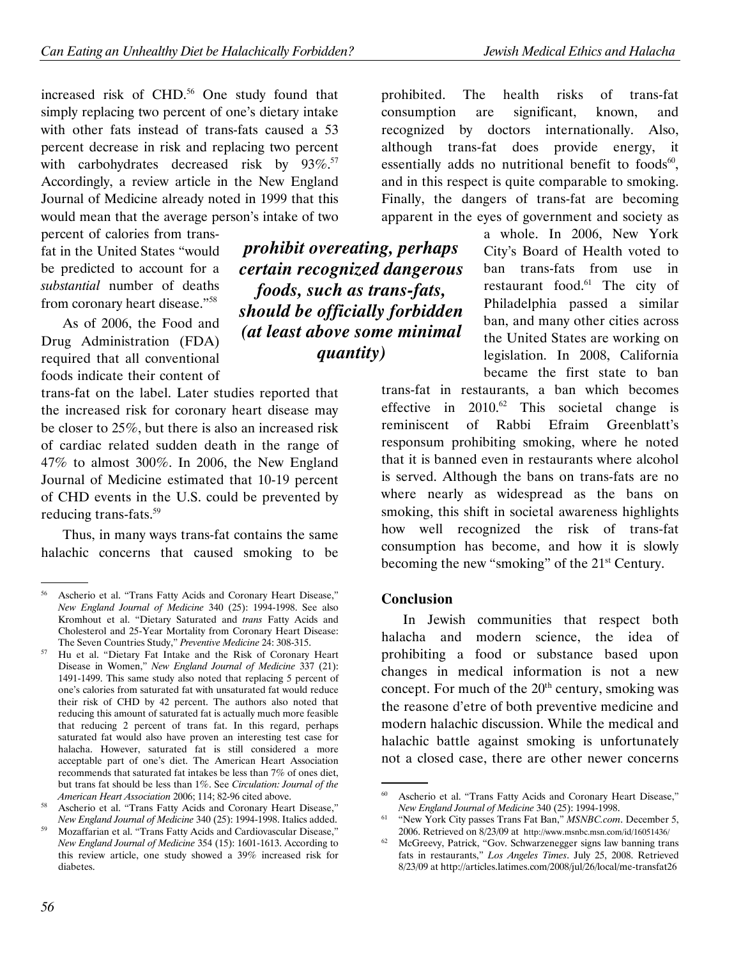increased risk of CHD.<sup>56</sup> One study found that simply replacing two percent of one's dietary intake with other fats instead of trans-fats caused a 53 percent decrease in risk and replacing two percent with carbohydrates decreased risk by  $93\%$ .<sup>57</sup> Accordingly, a review article in the New England Journal of Medicine already noted in 1999 that this would mean that the average person's intake of two

percent of calories from transfat in the United States "would be predicted to account for a *substantial* number of deaths from coronary heart disease."<sup>58</sup>

As of 2006, the Food and Drug Administration (FDA) required that all conventional foods indicate their content of

trans-fat on the label. Later studies reported that the increased risk for coronary heart disease may be closer to 25%, but there is also an increased risk of cardiac related sudden death in the range of 47% to almost 300%. In 2006, the New England Journal of Medicine estimated that 10-19 percent of CHD events in the U.S. could be prevented by reducing trans-fats.<sup>59</sup>

Thus, in many ways trans-fat contains the same halachic concerns that caused smoking to be

*prohibit overeating, perhaps certain recognized dangerous foods, such as trans-fats, should be officially forbidden (at least above some minimal quantity)* 

prohibited. The health risks of trans-fat consumption are significant, known, and recognized by doctors internationally. Also, although trans-fat does provide energy, it essentially adds no nutritional benefit to foods $60$ , and in this respect is quite comparable to smoking. Finally, the dangers of trans-fat are becoming apparent in the eyes of government and society as

> a whole. In 2006, New York City's Board of Health voted to ban trans-fats from use in restaurant food.<sup>61</sup> The city of Philadelphia passed a similar ban, and many other cities across the United States are working on legislation. In 2008, California became the first state to ban

trans-fat in restaurants, a ban which becomes effective in  $2010$ .<sup>62</sup> This societal change is reminiscent of Rabbi Efraim Greenblatt's responsum prohibiting smoking, where he noted that it is banned even in restaurants where alcohol is served. Although the bans on trans-fats are no where nearly as widespread as the bans on smoking, this shift in societal awareness highlights how well recognized the risk of trans-fat consumption has become, and how it is slowly becoming the new "smoking" of the 21st Century.

## **Conclusion**

In Jewish communities that respect both halacha and modern science, the idea of prohibiting a food or substance based upon changes in medical information is not a new concept. For much of the  $20<sup>th</sup>$  century, smoking was the reasone d'etre of both preventive medicine and modern halachic discussion. While the medical and halachic battle against smoking is unfortunately not a closed case, there are other newer concerns

.

<sup>56</sup> Ascherio et al. "Trans Fatty Acids and Coronary Heart Disease," *New England Journal of Medicine* 340 (25): 1994-1998. See also Kromhout et al. "Dietary Saturated and *trans* Fatty Acids and Cholesterol and 25-Year Mortality from Coronary Heart Disease: The Seven Countries Study," *Preventive Medicine* 24: 308-315.

<sup>57</sup> Hu et al. "Dietary Fat Intake and the Risk of Coronary Heart Disease in Women," *New England Journal of Medicine* 337 (21): 1491-1499. This same study also noted that replacing 5 percent of one's calories from saturated fat with unsaturated fat would reduce their risk of CHD by 42 percent. The authors also noted that reducing this amount of saturated fat is actually much more feasible that reducing 2 percent of trans fat. In this regard, perhaps saturated fat would also have proven an interesting test case for halacha. However, saturated fat is still considered a more acceptable part of one's diet. The American Heart Association recommends that saturated fat intakes be less than 7% of ones diet, but trans fat should be less than 1%. See *Circulation: Journal of the American Heart Association* 2006; 114; 82-96 cited above.

<sup>58</sup> Ascherio et al. "Trans Fatty Acids and Coronary Heart Disease," *New England Journal of Medicine* 340 (25): 1994-1998. Italics added.

<sup>59</sup> Mozaffarian et al. "Trans Fatty Acids and Cardiovascular Disease," *New England Journal of Medicine* 354 (15): 1601-1613. According to this review article, one study showed a 39% increased risk for diabetes.

 <sup>.</sup> <sup>60</sup> Ascherio et al. "Trans Fatty Acids and Coronary Heart Disease," *New England Journal of Medicine* 340 (25): 1994-1998.

<sup>61</sup> "New York City passes Trans Fat Ban," *MSNBC.com*. December 5, 2006. Retrieved on 8/23/09 at http://www.msnbc.msn.com/id/16051436/

<sup>62</sup> McGreevy, Patrick, "Gov. Schwarzenegger signs law banning trans fats in restaurants," *Los Angeles Times*. July 25, 2008. Retrieved 8/23/09 at http://articles.latimes.com/2008/jul/26/local/me-transfat26